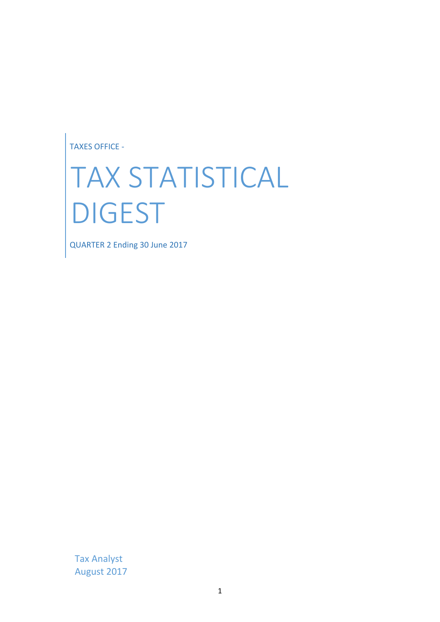TAXES OFFICE -

# TAX STATISTICAL DIGEST

QUARTER 2 Ending 30 June 2017

Tax Analyst August 2017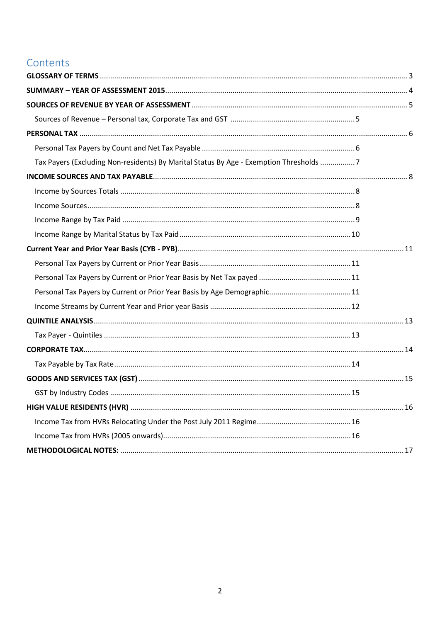## Contents

| Tax Payers (Excluding Non-residents) By Marital Status By Age - Exemption Thresholds 7 |  |
|----------------------------------------------------------------------------------------|--|
|                                                                                        |  |
|                                                                                        |  |
|                                                                                        |  |
|                                                                                        |  |
|                                                                                        |  |
|                                                                                        |  |
|                                                                                        |  |
|                                                                                        |  |
|                                                                                        |  |
|                                                                                        |  |
|                                                                                        |  |
|                                                                                        |  |
|                                                                                        |  |
|                                                                                        |  |
|                                                                                        |  |
|                                                                                        |  |
|                                                                                        |  |
|                                                                                        |  |
|                                                                                        |  |
|                                                                                        |  |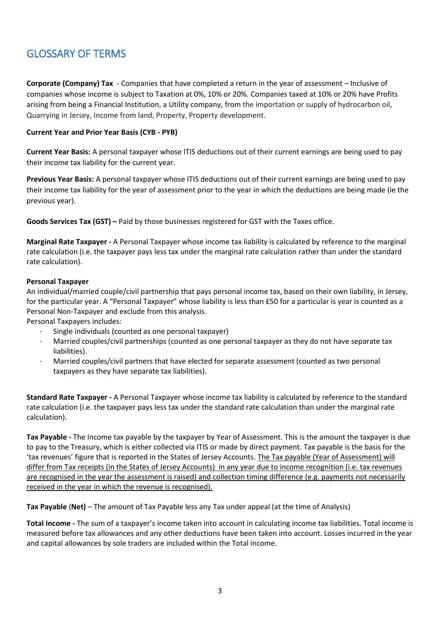# <span id="page-2-0"></span>GLOSSARY OF TERMS

**Corporate (Company) Tax** - Companies that have completed a return in the year of assessment – Inclusive of companies whose income is subject to Taxation at 0%, 10% or 20%. Companies taxed at 10% or 20% have Profits arising from being a Financial Institution, a Utility company, from the importation or supply of hydrocarbon oil, Quarrying in Jersey, Income from land, Property, Property development.

#### **Current Year and Prior Year Basis (CYB - PYB)**

**Current Year Basis:** A personal taxpayer whose ITIS deductions out of their current earnings are being used to pay their income tax liability for the current year.

**Previous Year Basis:** A personal taxpayer whose ITIS deductions out of their current earnings are being used to pay their income tax liability for the year of assessment prior to the year in which the deductions are being made (ie the previous year).

**Goods Services Tax (GST) –** Paid by those businesses registered for GST with the Taxes office.

**Marginal Rate Taxpayer -** A Personal Taxpayer whose income tax liability is calculated by reference to the marginal rate calculation (i.e. the taxpayer pays less tax under the marginal rate calculation rather than under the standard rate calculation).

#### **Personal Taxpayer**

An individual/married couple/civil partnership that pays personal income tax, based on their own liability, in Jersey, for the particular year. A "Personal Taxpayer" whose liability is less than £50 for a particular is year is counted as a Personal Non-Taxpayer and exclude from this analysis.

Personal Taxpayers includes:

- Single individuals (counted as one personal taxpayer)
- · Married couples/civil partnerships (counted as one personal taxpayer as they do not have separate tax liabilities).
- · Married couples/civil partners that have elected for separate assessment (counted as two personal taxpayers as they have separate tax liabilities).

**Standard Rate Taxpayer -** A Personal Taxpayer whose income tax liability is calculated by reference to the standard rate calculation (i.e. the taxpayer pays less tax under the standard rate calculation than under the marginal rate calculation).

**Tax Payable -** The Income tax payable by the taxpayer by Year of Assessment. This is the amount the taxpayer is due to pay to the Treasury, which is either collected via ITIS or made by direct payment. Tax payable is the basis for the 'tax revenues' figure that is reported in the States of Jersey Accounts. The Tax payable (Year of Assessment) will differ from Tax receipts (in the States of Jersey Accounts) in any year due to income recognition (i.e. tax revenues are recognised in the year the assessment is raised) and collection timing difference (e.g. payments not necessarily received in the year in which the revenue is recognised).

**Tax Payable** (**Net)** – The amount of Tax Payable less any Tax under appeal (at the time of Analysis)

**Total Income -** The sum of a taxpayer's income taken into account in calculating income tax liabilities. Total income is measured before tax allowances and any other deductions have been taken into account. Losses incurred in the year and capital allowances by sole traders are included within the Total income.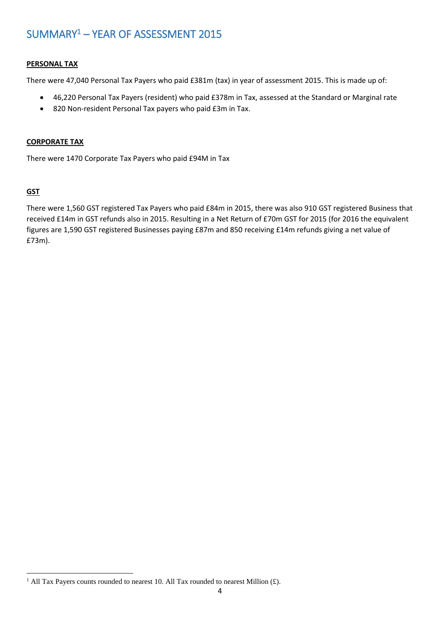# <span id="page-3-0"></span>SUMMARY<sup>1</sup> – YEAR OF ASSESSMENT 2015

#### **PERSONAL TAX**

There were 47,040 Personal Tax Payers who paid £381m (tax) in year of assessment 2015. This is made up of:

- 46,220 Personal Tax Payers (resident) who paid £378m in Tax, assessed at the Standard or Marginal rate
- 820 Non-resident Personal Tax payers who paid £3m in Tax.

#### **CORPORATE TAX**

There were 1470 Corporate Tax Payers who paid £94M in Tax

#### **GST**

There were 1,560 GST registered Tax Payers who paid £84m in 2015, there was also 910 GST registered Business that received £14m in GST refunds also in 2015. Resulting in a Net Return of £70m GST for 2015 (for 2016 the equivalent figures are 1,590 GST registered Businesses paying £87m and 850 receiving £14m refunds giving a net value of £73m).

 $\overline{a}$ <sup>1</sup> All Tax Payers counts rounded to nearest 10. All Tax rounded to nearest Million  $(f)$ .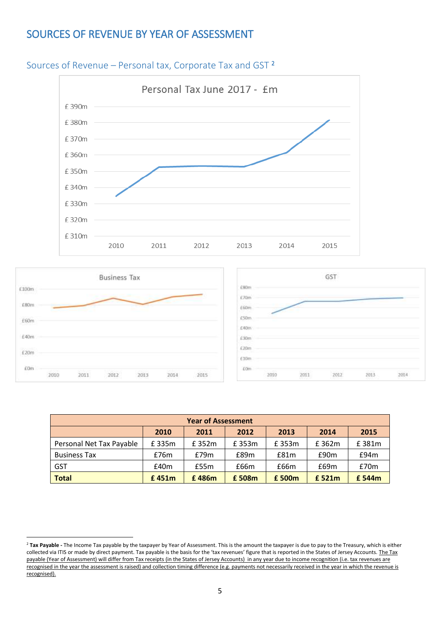## <span id="page-4-0"></span>SOURCES OF REVENUE BY YEAR OF ASSESSMENT



#### <span id="page-4-1"></span>Sources of Revenue – Personal tax, Corporate Tax and GST <sup>2</sup>



1



| <b>Year of Assessment</b>                    |       |       |       |       |        |        |  |  |  |
|----------------------------------------------|-------|-------|-------|-------|--------|--------|--|--|--|
| 2012<br>2010<br>2013<br>2011<br>2014<br>2015 |       |       |       |       |        |        |  |  |  |
| Personal Net Tax Payable                     | £335m | £352m | £353m | £353m | £362m  | £381m  |  |  |  |
| <b>Business Tax</b>                          | £76m  | E79m  | £89m  | £81m  | £90m   | E94m   |  |  |  |
| <b>GST</b>                                   | £40m  | £55m  | £66m  | £66m  | £69m   | £70m   |  |  |  |
| <b>Total</b>                                 | £451m | £486m | £508m | £500m | £ 521m | £ 544m |  |  |  |

<sup>&</sup>lt;sup>2</sup> Tax Payable - The Income Tax payable by the taxpayer by Year of Assessment. This is the amount the taxpayer is due to pay to the Treasury, which is either collected via ITIS or made by direct payment. Tax payable is the basis for the 'tax revenues' figure that is reported in the States of Jersey Accounts. The Tax payable (Year of Assessment) will differ from Tax receipts (in the States of Jersey Accounts) in any year due to income recognition (i.e. tax revenues are recognised in the year the assessment is raised) and collection timing difference (e.g. payments not necessarily received in the year in which the revenue is recognised).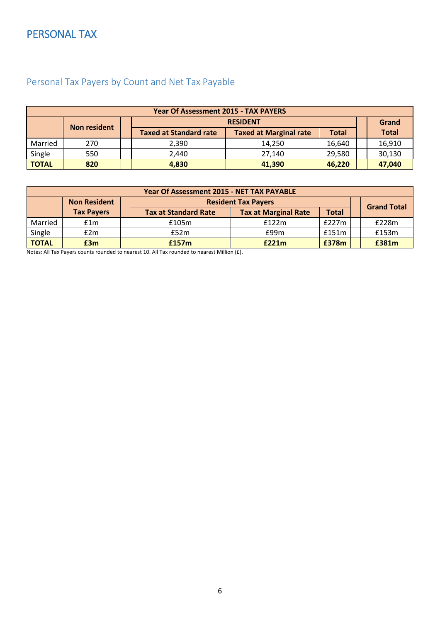# <span id="page-5-0"></span>PERSONAL TAX

| <b>Year Of Assessment 2015 - TAX PAYERS</b> |                     |                               |                               |              |              |  |  |
|---------------------------------------------|---------------------|-------------------------------|-------------------------------|--------------|--------------|--|--|
| <b>RESIDENT</b>                             |                     |                               |                               |              | Grand        |  |  |
|                                             | <b>Non resident</b> | <b>Taxed at Standard rate</b> | <b>Taxed at Marginal rate</b> | <b>Total</b> | <b>Total</b> |  |  |
| Married                                     | 270                 | 2.390                         | 14.250                        | 16,640       | 16,910       |  |  |
| Single                                      | 550                 | 2,440                         | 27,140                        | 29,580       | 30,130       |  |  |
| <b>TOTAL</b>                                | 820                 | 4,830                         | 41,390                        | 46,220       | 47,040       |  |  |

# <span id="page-5-1"></span>Personal Tax Payers by Count and Net Tax Payable

| Year Of Assessment 2015 - NET TAX PAYABLE |                                                   |  |                             |                             |              |  |                    |  |  |  |
|-------------------------------------------|---------------------------------------------------|--|-----------------------------|-----------------------------|--------------|--|--------------------|--|--|--|
|                                           | <b>Resident Tax Payers</b><br><b>Non Resident</b> |  |                             |                             |              |  |                    |  |  |  |
|                                           | <b>Tax Payers</b>                                 |  | <b>Tax at Standard Rate</b> | <b>Tax at Marginal Rate</b> | <b>Total</b> |  | <b>Grand Total</b> |  |  |  |
| Married                                   | f1m                                               |  | £105m                       | f122m                       | £227m        |  | £228m              |  |  |  |
| Single                                    | £2m                                               |  | £52m                        | £99m                        | £151m        |  | £153m              |  |  |  |
| <b>TOTAL</b>                              | £3m                                               |  | £157m                       | E221m                       | £378m        |  | £381m              |  |  |  |

Notes: All Tax Payers counts rounded to nearest 10. All Tax rounded to nearest Million (£).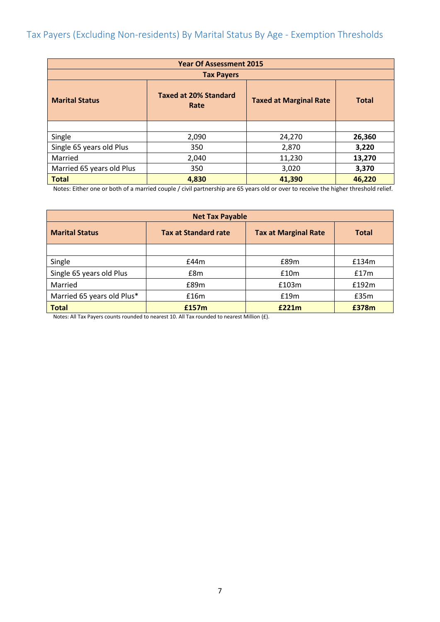<span id="page-6-0"></span>

| <b>Year Of Assessment 2015</b> |                   |        |        |  |  |  |
|--------------------------------|-------------------|--------|--------|--|--|--|
|                                | <b>Tax Payers</b> |        |        |  |  |  |
| <b>Marital Status</b>          | <b>Total</b>      |        |        |  |  |  |
|                                |                   |        |        |  |  |  |
| Single                         | 2,090             | 24,270 | 26,360 |  |  |  |
| Single 65 years old Plus       | 350               | 2,870  | 3,220  |  |  |  |
| Married                        | 2,040             | 11,230 | 13,270 |  |  |  |
| Married 65 years old Plus      | 350               | 3,020  | 3,370  |  |  |  |
| <b>Total</b>                   | 4,830             | 41,390 | 46,220 |  |  |  |

Notes: Either one or both of a married couple / civil partnership are 65 years old or over to receive the higher threshold relief.

| <b>Net Tax Payable</b>     |                             |                             |              |  |  |  |  |
|----------------------------|-----------------------------|-----------------------------|--------------|--|--|--|--|
| <b>Marital Status</b>      | <b>Tax at Standard rate</b> | <b>Tax at Marginal Rate</b> | <b>Total</b> |  |  |  |  |
|                            |                             |                             |              |  |  |  |  |
| Single                     | £44m                        | £89m                        | £134m        |  |  |  |  |
| Single 65 years old Plus   | £8m                         | £10m                        | £17m         |  |  |  |  |
| Married                    | £89m                        | £103m                       | £192m        |  |  |  |  |
| Married 65 years old Plus* | £16m                        | £19m                        | £35m         |  |  |  |  |
| <b>Total</b>               | £157m                       | £221m                       | £378m        |  |  |  |  |

Notes: All Tax Payers counts rounded to nearest 10. All Tax rounded to nearest Million (£).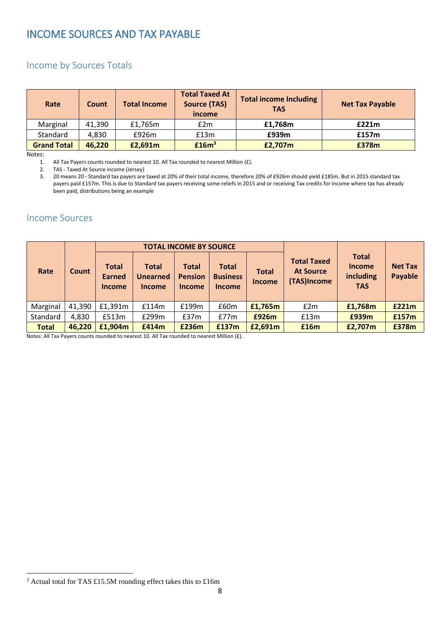## <span id="page-7-0"></span>INCOME SOURCES AND TAX PAYABLE

### <span id="page-7-1"></span>Income by Sources Totals

| Rate               | Count  | <b>Total Income</b> | <b>Total Taxed At</b><br><b>Source (TAS)</b><br>income | <b>Total income Including</b><br><b>TAS</b> | <b>Net Tax Payable</b> |
|--------------------|--------|---------------------|--------------------------------------------------------|---------------------------------------------|------------------------|
| Marginal           | 41,390 | £1,765m             | £2m                                                    | £1,768m                                     | £221m                  |
| Standard           | 4,830  | £926m               | £13m                                                   | £939m                                       | £157m                  |
| <b>Grand Total</b> | 46,220 | £2,691m             | £16m <sup>3</sup>                                      | £2,707m                                     | £378m                  |

Notes:

 $\overline{a}$ 

1. All Tax Payers counts rounded to nearest 10. All Tax rounded to nearest Million  $(f)$ .<br>2. TAS - Taxed At Source income (Jersey)

2. TAS - Taxed At Source income (Jersey)<br>3. 20 means 20 - Standard tax pavers are 3. 20 means 20 - Standard tax payers are taxed at 20% of their total income, therefore 20% of £926m should yield £185m. But in 2015 standard tax payers paid £157m. This is due to Standard tax payers receiving some reliefs in 2015 and or receiving Tax credits for income where tax has already been paid, distributions being an example

#### <span id="page-7-2"></span>Income Sources

|              |        |                                         |                                                  | <b>TOTAL INCOME BY SOURCE</b>                   |                                                  |                               |                                                       |                                                          |                           |
|--------------|--------|-----------------------------------------|--------------------------------------------------|-------------------------------------------------|--------------------------------------------------|-------------------------------|-------------------------------------------------------|----------------------------------------------------------|---------------------------|
| Rate         | Count  | <b>Total</b><br>Earned<br><b>Income</b> | <b>Total</b><br><b>Unearned</b><br><b>Income</b> | <b>Total</b><br><b>Pension</b><br><b>Income</b> | <b>Total</b><br><b>Business</b><br><b>Income</b> | <b>Total</b><br><b>Income</b> | <b>Total Taxed</b><br><b>At Source</b><br>(TAS)Income | <b>Total</b><br><b>Income</b><br>including<br><b>TAS</b> | <b>Net Tax</b><br>Payable |
| Marginal     | 41,390 | £1,391m                                 | £114m                                            | £199m                                           | £60m                                             | £1,765m                       | £2m                                                   | £1,768m                                                  | £221m                     |
| Standard     | 4,830  | £513m                                   | £299m                                            | £37m                                            | E77m                                             | £926m                         | £13m                                                  | £939m                                                    | £157m                     |
| <b>Total</b> | 46,220 | £1,904m                                 | £414m                                            | £236m                                           | £137m                                            | £2,691m                       | £16m                                                  | £2,707m                                                  | £378m                     |

Notes: All Tax Payers counts rounded to nearest 10. All Tax rounded to nearest Million (£).

<sup>3</sup> Actual total for TAS £15.5M rounding effect takes this to £16m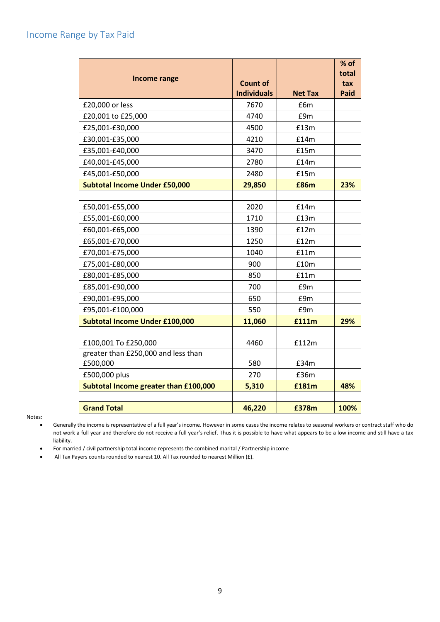<span id="page-8-0"></span>

| <b>Income range</b>                   | <b>Count of</b>    |                | % of<br>total<br>tax |
|---------------------------------------|--------------------|----------------|----------------------|
|                                       | <b>Individuals</b> | <b>Net Tax</b> | <b>Paid</b>          |
| £20,000 or less                       | 7670               | £6m            |                      |
| £20,001 to £25,000                    | 4740               | £9m            |                      |
| £25,001-£30,000                       | 4500               | £13m           |                      |
| £30,001-£35,000                       | 4210               | £14m           |                      |
| £35,001-£40,000                       | 3470               | £15m           |                      |
| £40,001-£45,000                       | 2780               | £14m           |                      |
| £45,001-£50,000                       | 2480               | £15m           |                      |
| <b>Subtotal Income Under £50,000</b>  | 29,850             | £86m           | 23%                  |
|                                       |                    |                |                      |
| £50,001-£55,000                       | 2020               | £14m           |                      |
| £55,001-£60,000                       | 1710               | £13m           |                      |
| £60,001-£65,000                       | 1390               | £12m           |                      |
| £65,001-£70,000                       | 1250               | £12m           |                      |
| £70,001-£75,000                       | 1040               | £11m           |                      |
| £75,001-£80,000                       | 900                | £10m           |                      |
| £80,001-£85,000                       | 850                | £11m           |                      |
| £85,001-£90,000                       | 700                | £9m            |                      |
| £90,001-£95,000                       | 650                | £9m            |                      |
| £95,001-£100,000                      | 550                | £9m            |                      |
| Subtotal Income Under £100,000        | 11,060             | £111m          | 29%                  |
|                                       |                    |                |                      |
| £100,001 To £250,000                  | 4460               | £112m          |                      |
| greater than £250,000 and less than   |                    |                |                      |
| £500,000                              | 580                | £34m           |                      |
| £500,000 plus                         | 270                | £36m           |                      |
| Subtotal Income greater than £100,000 | 5,310              | £181m          | 48%                  |
| <b>Grand Total</b>                    | 46,220             | £378m          | 100%                 |

Notes:

- Generally the income is representative of a full year's income. However in some cases the income relates to seasonal workers or contract staff who do not work a full year and therefore do not receive a full year's relief. Thus it is possible to have what appears to be a low income and still have a tax liability.
- For married / civil partnership total income represents the combined marital / Partnership income
- All Tax Payers counts rounded to nearest 10. All Tax rounded to nearest Million (£).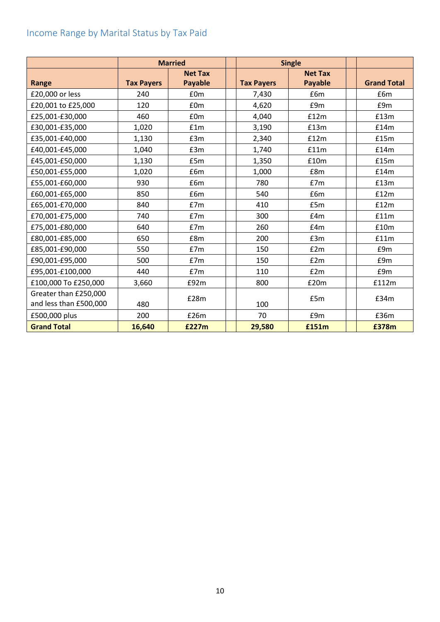# <span id="page-9-0"></span>Income Range by Marital Status by Tax Paid

|                        | <b>Married</b>    |                | <b>Single</b>     |                |  |                    |
|------------------------|-------------------|----------------|-------------------|----------------|--|--------------------|
|                        |                   | <b>Net Tax</b> |                   | <b>Net Tax</b> |  |                    |
| Range                  | <b>Tax Payers</b> | <b>Payable</b> | <b>Tax Payers</b> | <b>Payable</b> |  | <b>Grand Total</b> |
| £20,000 or less        | 240               | £0m            | 7,430             | £6m            |  | £6m                |
| £20,001 to £25,000     | 120               | £0m            | 4,620             | £9m            |  | £9m                |
| £25,001-£30,000        | 460               | £0m            | 4,040             | £12m           |  | £13m               |
| £30,001-£35,000        | 1,020             | £1m            | 3,190             | £13m           |  | £14m               |
| £35,001-£40,000        | 1,130             | E3m            | 2,340             | £12m           |  | £15m               |
| £40,001-£45,000        | 1,040             | £3m            | 1,740             | £11m           |  | £14m               |
| £45,001-£50,000        | 1,130             | £5m            | 1,350             | £10m           |  | £15m               |
| £50,001-£55,000        | 1,020             | £6m            | 1,000             | £8m            |  | £14m               |
| £55,001-£60,000        | 930               | £6m            | 780               | E7m            |  | £13m               |
| £60,001-£65,000        | 850               | £6m            | 540               | £6m            |  | £12m               |
| £65,001-£70,000        | 840               | E7m            | 410               | £5m            |  | £12m               |
| £70,001-£75,000        | 740               | E7m            | 300               | E4m            |  | £11m               |
| £75,001-£80,000        | 640               | E7m            | 260               | E4m            |  | £10m               |
| £80,001-£85,000        | 650               | £8m            | 200               | £3m            |  | £11m               |
| £85,001-£90,000        | 550               | E7m            | 150               | E2m            |  | £9m                |
| £90,001-£95,000        | 500               | E7m            | 150               | E2m            |  | £9m                |
| £95,001-£100,000       | 440               | £7m            | 110               | E2m            |  | £9m                |
| £100,000 To £250,000   | 3,660             | £92m           | 800               | £20m           |  | £112m              |
| Greater than £250,000  |                   | £28m           |                   | £5m            |  | E34m               |
| and less than £500,000 | 480               |                | 100               |                |  |                    |
| £500,000 plus          | 200               | £26m           | 70                | £9m            |  | £36m               |
| <b>Grand Total</b>     | 16,640            | £227m          | 29,580            | £151m          |  | £378m              |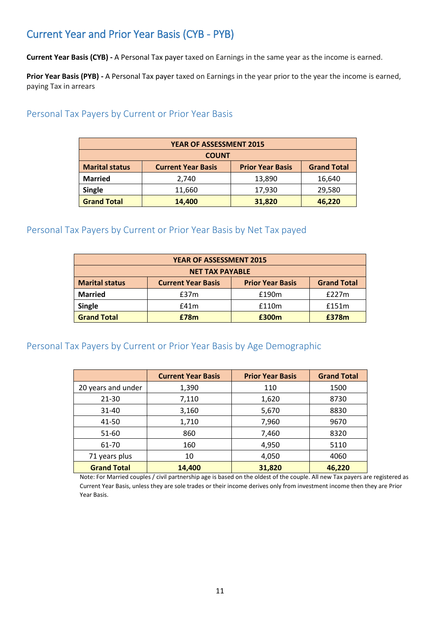# <span id="page-10-0"></span>Current Year and Prior Year Basis (CYB - PYB)

**Current Year Basis (CYB) -** A Personal Tax payer taxed on Earnings in the same year as the income is earned.

**Prior Year Basis (PYB) -** A Personal Tax payer taxed on Earnings in the year prior to the year the income is earned, paying Tax in arrears

#### <span id="page-10-1"></span>Personal Tax Payers by Current or Prior Year Basis

| <b>YEAR OF ASSESSMENT 2015</b>                                                                      |        |        |        |  |  |  |  |
|-----------------------------------------------------------------------------------------------------|--------|--------|--------|--|--|--|--|
| <b>COUNT</b>                                                                                        |        |        |        |  |  |  |  |
| <b>Marital status</b><br><b>Grand Total</b><br><b>Prior Year Basis</b><br><b>Current Year Basis</b> |        |        |        |  |  |  |  |
| <b>Married</b>                                                                                      | 2,740  | 13,890 | 16,640 |  |  |  |  |
| <b>Single</b>                                                                                       | 11,660 | 17,930 | 29,580 |  |  |  |  |
| <b>Grand Total</b>                                                                                  | 14,400 | 31,820 | 46,220 |  |  |  |  |

#### <span id="page-10-2"></span>Personal Tax Payers by Current or Prior Year Basis by Net Tax payed

| <b>YEAR OF ASSESSMENT 2015</b>                                                                      |      |       |       |  |  |  |  |
|-----------------------------------------------------------------------------------------------------|------|-------|-------|--|--|--|--|
| <b>NET TAX PAYABLE</b>                                                                              |      |       |       |  |  |  |  |
| <b>Marital status</b><br><b>Grand Total</b><br><b>Prior Year Basis</b><br><b>Current Year Basis</b> |      |       |       |  |  |  |  |
| <b>Married</b>                                                                                      | £37m | £190m | £227m |  |  |  |  |
| <b>Single</b>                                                                                       | f41m | £110m | £151m |  |  |  |  |
| <b>Grand Total</b>                                                                                  | £78m | £300m | £378m |  |  |  |  |

#### <span id="page-10-3"></span>Personal Tax Payers by Current or Prior Year Basis by Age Demographic

|                    | <b>Current Year Basis</b> | <b>Prior Year Basis</b> | <b>Grand Total</b> |
|--------------------|---------------------------|-------------------------|--------------------|
| 20 years and under | 1,390                     | 110                     | 1500               |
| 21-30              | 7,110                     | 1,620                   | 8730               |
| 31-40              | 3,160                     | 5,670                   | 8830               |
| 41-50              | 1,710                     | 7,960                   | 9670               |
| 51-60              | 860                       | 7,460                   | 8320               |
| 61-70              | 160                       | 4,950                   | 5110               |
| 71 years plus      | 10                        | 4,050                   | 4060               |
| <b>Grand Total</b> | 14,400                    | 31,820                  | 46,220             |

Note: For Married couples / civil partnership age is based on the oldest of the couple. All new Tax payers are registered as Current Year Basis, unless they are sole trades or their income derives only from investment income then they are Prior Year Basis.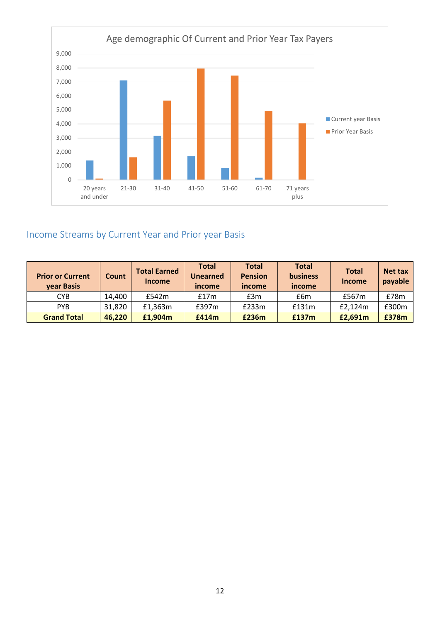

# <span id="page-11-0"></span>Income Streams by Current Year and Prior year Basis

| <b>Prior or Current</b><br>year Basis | Count  | <b>Total Earned</b><br><b>Income</b> | <b>Total</b><br><b>Unearned</b><br>income | <b>Total</b><br><b>Pension</b><br>income | <b>Total</b><br><b>business</b><br>income | <b>Total</b><br>Income | <b>Net tax</b><br>payable |
|---------------------------------------|--------|--------------------------------------|-------------------------------------------|------------------------------------------|-------------------------------------------|------------------------|---------------------------|
| <b>CYB</b>                            | 14,400 | £542m                                | £17m                                      | £3m                                      | £6m                                       | £567m                  | £78m                      |
| <b>PYR</b>                            | 31,820 | £1,363m                              | f397m                                     | £233m                                    | £131m                                     | £2,124m                | £300m                     |
| <b>Grand Total</b>                    | 46,220 | £1,904m                              | £414m                                     | £236m                                    | £137m                                     | £2,691m                | £378m                     |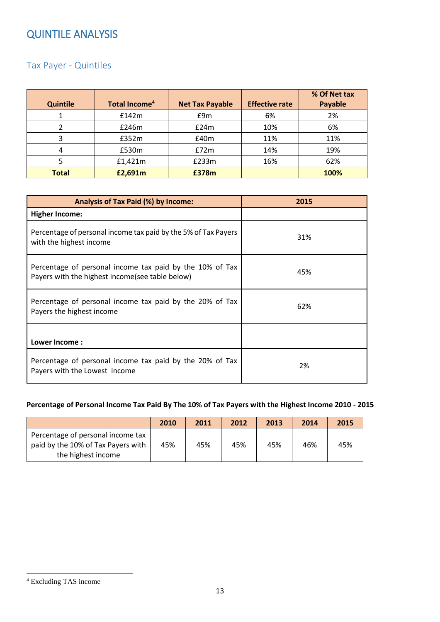# <span id="page-12-0"></span>QUINTILE ANALYSIS

## <span id="page-12-1"></span>Tax Payer - Quintiles

| <b>Quintile</b> | Total Income <sup>4</sup> | <b>Net Tax Payable</b> | <b>Effective rate</b> | % Of Net tax<br>Payable |
|-----------------|---------------------------|------------------------|-----------------------|-------------------------|
|                 | £142m                     | £9m                    | 6%                    | 2%                      |
|                 | £246m                     | £24m                   | 10%                   | 6%                      |
| ξ               | £352m                     | £40m                   | 11%                   | 11%                     |
| 4               | £530m                     | E72m                   | 14%                   | 19%                     |
|                 | £1,421m                   | £233m                  | 16%                   | 62%                     |
| <b>Total</b>    | £2,691m                   | £378m                  |                       | 100%                    |

| Analysis of Tax Paid (%) by Income:                                                                          | 2015 |
|--------------------------------------------------------------------------------------------------------------|------|
| <b>Higher Income:</b>                                                                                        |      |
| Percentage of personal income tax paid by the 5% of Tax Payers<br>with the highest income                    | 31%  |
| Percentage of personal income tax paid by the 10% of Tax<br>Payers with the highest income (see table below) | 45%  |
| Percentage of personal income tax paid by the 20% of Tax<br>Payers the highest income                        | 62%  |
|                                                                                                              |      |
| Lower Income:                                                                                                |      |
| Percentage of personal income tax paid by the 20% of Tax<br>Payers with the Lowest income                    | 2%   |

#### **Percentage of Personal Income Tax Paid By The 10% of Tax Payers with the Highest Income 2010 - 2015**

|                                                                                               | 2010 | 2011 | 2012 | 2013 | 2014 | 2015 |
|-----------------------------------------------------------------------------------------------|------|------|------|------|------|------|
| Percentage of personal income tax<br>paid by the 10% of Tax Payers with<br>the highest income | 45%  | 45%  | 45%  | 45%  | 46%  | 45%  |

 $\overline{a}$ 

<sup>4</sup> Excluding TAS income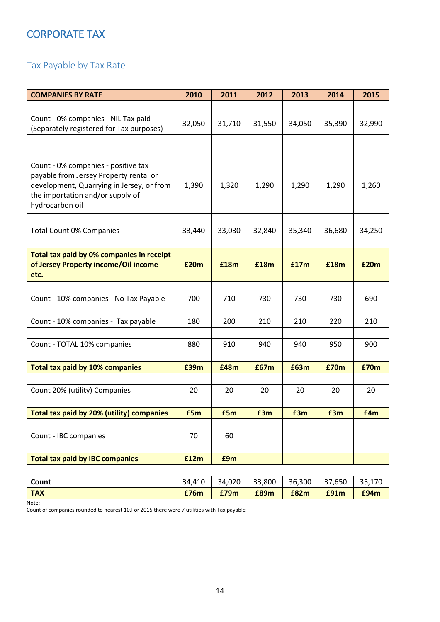# <span id="page-13-0"></span>CORPORATE TAX

# <span id="page-13-1"></span>Tax Payable by Tax Rate

| <b>COMPANIES BY RATE</b>                                                                                                                                                          | 2010   | 2011   | 2012   | 2013   | 2014   | 2015   |
|-----------------------------------------------------------------------------------------------------------------------------------------------------------------------------------|--------|--------|--------|--------|--------|--------|
|                                                                                                                                                                                   |        |        |        |        |        |        |
| Count - 0% companies - NIL Tax paid<br>(Separately registered for Tax purposes)                                                                                                   | 32,050 | 31,710 | 31,550 | 34,050 | 35,390 | 32,990 |
|                                                                                                                                                                                   |        |        |        |        |        |        |
|                                                                                                                                                                                   |        |        |        |        |        |        |
| Count - 0% companies - positive tax<br>payable from Jersey Property rental or<br>development, Quarrying in Jersey, or from<br>the importation and/or supply of<br>hydrocarbon oil | 1,390  | 1,320  | 1,290  | 1,290  | 1,290  | 1,260  |
|                                                                                                                                                                                   |        |        |        |        |        |        |
| <b>Total Count 0% Companies</b>                                                                                                                                                   | 33,440 | 33,030 | 32,840 | 35,340 | 36,680 | 34,250 |
|                                                                                                                                                                                   |        |        |        |        |        |        |
| Total tax paid by 0% companies in receipt<br>of Jersey Property income/Oil income<br>etc.                                                                                         | £20m   | £18m   | £18m   | £17m   | £18m   | £20m   |
|                                                                                                                                                                                   |        |        |        |        |        |        |
| Count - 10% companies - No Tax Payable                                                                                                                                            | 700    | 710    | 730    | 730    | 730    | 690    |
|                                                                                                                                                                                   |        |        |        |        |        |        |
| Count - 10% companies - Tax payable                                                                                                                                               | 180    | 200    | 210    | 210    | 220    | 210    |
| Count - TOTAL 10% companies                                                                                                                                                       | 880    | 910    | 940    | 940    | 950    | 900    |
|                                                                                                                                                                                   |        |        |        |        |        |        |
| <b>Total tax paid by 10% companies</b>                                                                                                                                            | £39m   | £48m   | £67m   | £63m   | £70m   | £70m   |
|                                                                                                                                                                                   |        |        |        |        |        |        |
| Count 20% (utility) Companies                                                                                                                                                     | 20     | 20     | 20     | 20     | 20     | 20     |
|                                                                                                                                                                                   |        |        |        |        |        |        |
| Total tax paid by 20% (utility) companies                                                                                                                                         | £5m    | £5m    | £3m    | £3m    | £3m    | £4m    |
|                                                                                                                                                                                   |        |        |        |        |        |        |
| Count - IBC companies                                                                                                                                                             | 70     | 60     |        |        |        |        |
| <b>Total tax paid by IBC companies</b>                                                                                                                                            | £12m   | £9m    |        |        |        |        |
|                                                                                                                                                                                   |        |        |        |        |        |        |
| Count                                                                                                                                                                             | 34,410 | 34,020 | 33,800 | 36,300 | 37,650 | 35,170 |
| <b>TAX</b>                                                                                                                                                                        | £76m   | £79m   | £89m   | £82m   | £91m   | £94m   |

Note:

Count of companies rounded to nearest 10.For 2015 there were 7 utilities with Tax payable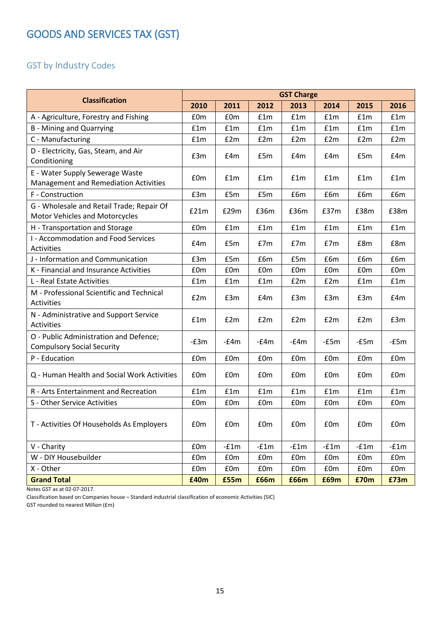# <span id="page-14-0"></span>GOODS AND SERVICES TAX (GST)

## <span id="page-14-1"></span>GST by Industry Codes

| <b>Classification</b>                                                           | <b>GST Charge</b>                                                |        |        |        |        |        |        |
|---------------------------------------------------------------------------------|------------------------------------------------------------------|--------|--------|--------|--------|--------|--------|
|                                                                                 | 2010                                                             | 2011   | 2012   | 2013   | 2014   | 2015   | 2016   |
| A - Agriculture, Forestry and Fishing                                           | £0m                                                              | £0m    | £1m    | f1m    | f1m    | f1m    | f1m    |
| <b>B</b> - Mining and Quarrying                                                 | f1m                                                              | £1m    | f1m    | £1m    | f1m    | £1m    | £1m    |
| C - Manufacturing                                                               | £1m                                                              | £2m    | £2m    | £2m    | E2m    | £2m    | £2m    |
| D - Electricity, Gas, Steam, and Air<br>Conditioning                            | £3m                                                              | £4m    | £5m    | E4m    | E4m    | £5m    | E4m    |
| E - Water Supply Sewerage Waste<br><b>Management and Remediation Activities</b> | £0m                                                              | f1m    | f1m    | f1m    | f1m    | f1m    | f1m    |
| F - Construction                                                                | £3m                                                              | £5m    | £5m    | £6m    | £6m    | £6m    | £6m    |
| G - Wholesale and Retail Trade; Repair Of<br>Motor Vehicles and Motorcycles     | £21m                                                             | £29m   | £36m   | £36m   | £37m   | £38m   | £38m   |
| H - Transportation and Storage                                                  | £0m                                                              | £1m    | £1m    | £1m    | f1m    | £1m    | £1m    |
| I - Accommodation and Food Services<br><b>Activities</b>                        | E4m                                                              | £5m    | E7m    | E7m    | E7m    | £8m    | £8m    |
| J - Information and Communication                                               | £3m                                                              | £5m    | £6m    | £5m    | £6m    | £6m    | £6m    |
| K - Financial and Insurance Activities                                          | £0m                                                              | £0m    | £0m    | £0m    | £0m    | £0m    | £0m    |
| L - Real Estate Activities                                                      | £1m                                                              | £1m    | £1m    | E2m    | £2m    | £1m    | £1m    |
| M - Professional Scientific and Technical<br><b>Activities</b>                  | E2m                                                              | £3m    | E4m    | £3m    | E3m    | £3m    | E4m    |
| N - Administrative and Support Service<br><b>Activities</b>                     | f1m                                                              | £2m    | £2m    | £2m    | £2m    | £2m    | £3m    |
| O - Public Administration and Defence;<br><b>Compulsory Social Security</b>     | $-E3m$                                                           | $-f4m$ | $-f4m$ | $-f4m$ | $-£5m$ | $-£5m$ | $-£5m$ |
| P - Education                                                                   | £0m                                                              | £0m    | £0m    | £0m    | £0m    | £0m    | £0m    |
| Q - Human Health and Social Work Activities                                     | £0m                                                              | £0m    | £0m    | £0m    | £0m    | £0m    | £0m    |
| R - Arts Entertainment and Recreation                                           | £1m                                                              | £1m    | £1m    | £1m    | £1m    | £1m    | £1m    |
| S - Other Service Activities                                                    | £0m                                                              | £0m    | £0m    | £0m    | £0m    | £0m    | £0m    |
| T - Activities Of Households As Employers                                       | £0m                                                              | £0m    | £0m    | £0m    | £0m    | £0m    | £0m    |
| V - Charity                                                                     | £0m                                                              | $-f1m$ | $-f1m$ | $-f1m$ | $-f1m$ | $-f1m$ | $-f1m$ |
| W - DIY Housebuilder                                                            | £0m                                                              | £0m    | £0m    | £0m    | £0m    | £0m    | £0m    |
| X - Other                                                                       | $\ensuremath{\mathsf{f}}\xspace 0\ensuremath{\mathsf{m}}\xspace$ | £0m    | £0m    | £0m    | £0m    | £0m    | £0m    |
| <b>Grand Total</b>                                                              | £40m                                                             | £55m   | £66m   | £66m   | £69m   | £70m   | £73m   |

Notes GST as at 02-07-2017.

Classification based on Companies house – Standard industrial classification of economic Activities (SIC)

GST rounded to nearest Million (£m)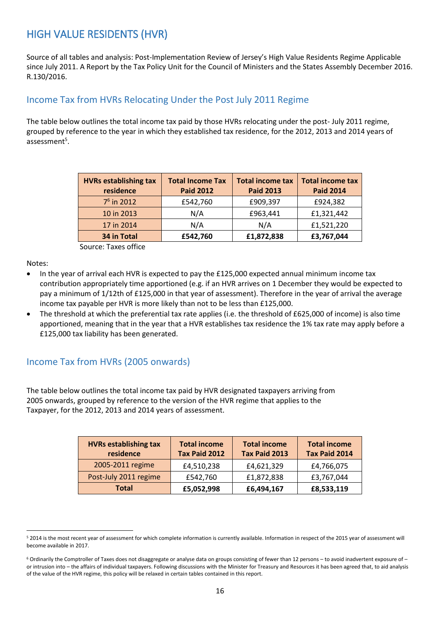# <span id="page-15-0"></span>HIGH VALUE RESIDENTS (HVR)

Source of all tables and analysis: Post-Implementation Review of Jersey's High Value Residents Regime Applicable since July 2011. A Report by the Tax Policy Unit for the Council of Ministers and the States Assembly December 2016. R.130/2016.

#### <span id="page-15-1"></span>Income Tax from HVRs Relocating Under the Post July 2011 Regime

The table below outlines the total income tax paid by those HVRs relocating under the post- July 2011 regime, grouped by reference to the year in which they established tax residence, for the 2012, 2013 and 2014 years of assessment<sup>5</sup>.

| <b>HVRs establishing tax</b><br>residence | <b>Total Income Tax</b><br><b>Paid 2012</b> | <b>Total income tax</b><br><b>Paid 2013</b> | <b>Total income tax</b><br><b>Paid 2014</b> |
|-------------------------------------------|---------------------------------------------|---------------------------------------------|---------------------------------------------|
| $76$ in 2012                              | £542,760                                    | £909,397                                    | £924,382                                    |
| 10 in 2013                                | N/A                                         | £963,441                                    | £1,321,442                                  |
| 17 in 2014                                | N/A                                         | N/A                                         | £1,521,220                                  |
| 34 in Total                               | £542,760                                    | £1,872,838                                  | £3,767,044                                  |

Source: Taxes office

Notes:

- In the year of arrival each HVR is expected to pay the £125,000 expected annual minimum income tax contribution appropriately time apportioned (e.g. if an HVR arrives on 1 December they would be expected to pay a minimum of 1/12th of £125,000 in that year of assessment). Therefore in the year of arrival the average income tax payable per HVR is more likely than not to be less than £125,000.
- The threshold at which the preferential tax rate applies (i.e. the threshold of £625,000 of income) is also time apportioned, meaning that in the year that a HVR establishes tax residence the 1% tax rate may apply before a £125,000 tax liability has been generated.

#### <span id="page-15-2"></span>Income Tax from HVRs (2005 onwards)

The table below outlines the total income tax paid by HVR designated taxpayers arriving from 2005 onwards, grouped by reference to the version of the HVR regime that applies to the Taxpayer, for the 2012, 2013 and 2014 years of assessment.

| <b>HVRs establishing tax</b><br>residence | <b>Total income</b><br><b>Tax Paid 2012</b> | <b>Total income</b><br>Tax Paid 2013 | <b>Total income</b><br>Tax Paid 2014 |
|-------------------------------------------|---------------------------------------------|--------------------------------------|--------------------------------------|
| 2005-2011 regime                          | £4,510,238                                  | £4,621,329                           | £4,766,075                           |
| Post-July 2011 regime                     | £542,760                                    | £1,872,838                           | £3,767,044                           |
| <b>Total</b>                              | £5,052,998                                  | £6,494,167                           | £8,533,119                           |

 $\overline{a}$ <sup>5</sup> 2014 is the most recent year of assessment for which complete information is currently available. Information in respect of the 2015 year of assessment will become available in 2017.

<sup>6</sup> Ordinarily the Comptroller of Taxes does not disaggregate or analyse data on groups consisting of fewer than 12 persons – to avoid inadvertent exposure of – or intrusion into – the affairs of individual taxpayers. Following discussions with the Minister for Treasury and Resources it has been agreed that, to aid analysis of the value of the HVR regime, this policy will be relaxed in certain tables contained in this report.